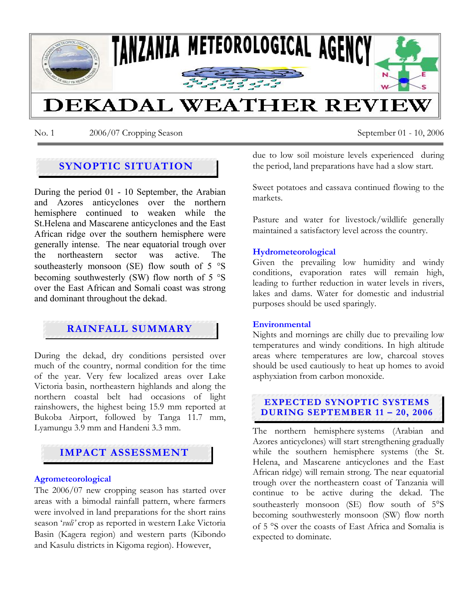

No. 1 2006/07 Cropping Season September 01 - 10, 2006

## **SYNOPTIC SITUATION**

During the period 01 - 10 September, the Arabian and Azores anticyclones over the northern hemisphere continued to weaken while the St.Helena and Mascarene anticyclones and the East African ridge over the southern hemisphere were generally intense. The near equatorial trough over the northeastern sector was active. The southeasterly monsoon (SE) flow south of 5 °S becoming southwesterly (SW) flow north of 5 °S over the East African and Somali coast was strong and dominant throughout the dekad.

# **RAINFALL SUMMARY**

During the dekad, dry conditions persisted over much of the country, normal condition for the time of the year. Very few localized areas over Lake Victoria basin, northeastern highlands and along the northern coastal belt had occasions of light rainshowers, the highest being 15.9 mm reported at Bukoba Airport, followed by Tanga 11.7 mm, Lyamungu 3.9 mm and Handeni 3.3 mm.

## **IMPACT ASSESSMENT**

#### **Agrometeorological**

The 2006/07 new cropping season has started over areas with a bimodal rainfall pattern, where farmers were involved in land preparations for the short rains season '*vuli'* crop as reported in western Lake Victoria Basin (Kagera region) and western parts (Kibondo and Kasulu districts in Kigoma region). However,

due to low soil moisture levels experienced during the period, land preparations have had a slow start.

Sweet potatoes and cassava continued flowing to the markets.

Pasture and water for livestock/wildlife generally maintained a satisfactory level across the country.

#### **Hydrometeorological**

Given the prevailing low humidity and windy conditions, evaporation rates will remain high, leading to further reduction in water levels in rivers, lakes and dams. Water for domestic and industrial purposes should be used sparingly.

#### **Environmental**

Nights and mornings are chilly due to prevailing low temperatures and windy conditions. In high altitude areas where temperatures are low, charcoal stoves should be used cautiously to heat up homes to avoid asphyxiation from carbon monoxide.

### **EXPECTED SYNOPTIC SYSTEMS DURING SEPTEMBER 11 – 20, 2006**

The northern hemisphere systems (Arabian and Azores anticyclones) will start strengthening gradually while the southern hemisphere systems (the St. Helena, and Mascarene anticyclones and the East African ridge) will remain strong. The near equatorial trough over the northeastern coast of Tanzania will continue to be active during the dekad. The southeasterly monsoon (SE) flow south of 5°S becoming southwesterly monsoon (SW) flow north of 5 °S over the coasts of East Africa and Somalia is expected to dominate.